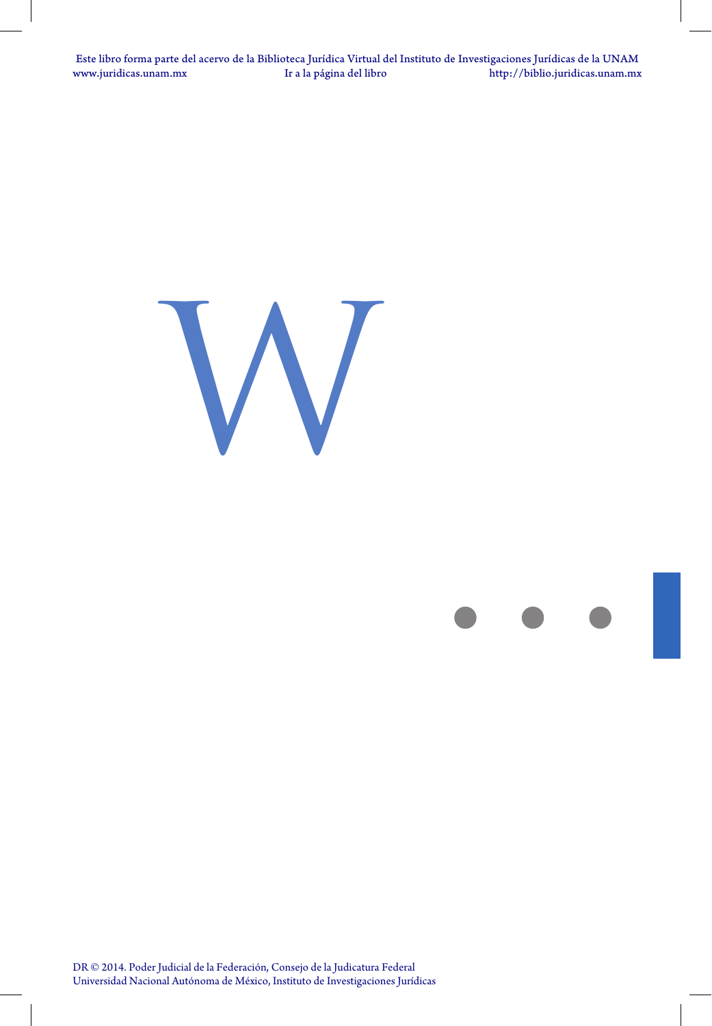



DR © 2014. Poder Judicial de la Federación, Consejo de la Judicatura Federal Universidad Nacional Autónoma de México, Instituto de Investigaciones Jurídicas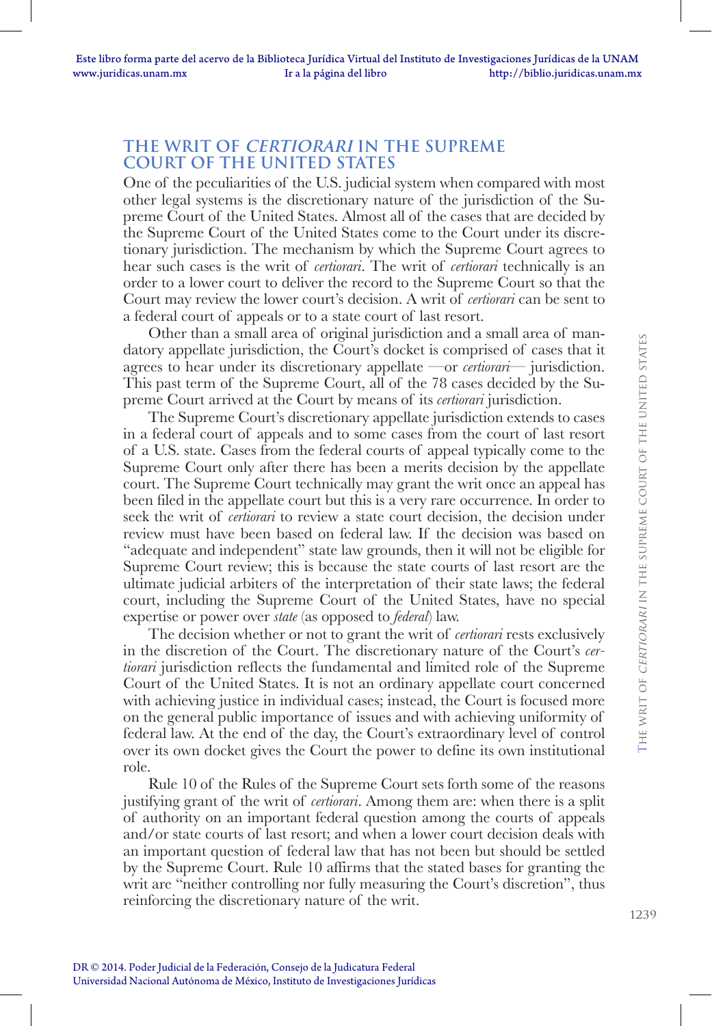## **THE WRIT OF CERTIORARI IN THE SUPREME COURT OF THE UNITED STATES**

One of the peculiarities of the U.S. judicial system when compared with most other legal systems is the discretionary nature of the jurisdiction of the Supreme Court of the United States. Almost all of the cases that are decided by the Supreme Court of the United States come to the Court under its discretionary jurisdiction. The mechanism by which the Supreme Court agrees to hear such cases is the writ of *certiorari*. The writ of *certiorari* technically is an order to a lower court to deliver the record to the Supreme Court so that the Court may review the lower court's decision. A writ of *certiorari* can be sent to a federal court of appeals or to a state court of last resort.

Other than a small area of original jurisdiction and a small area of mandatory appellate jurisdiction, the Court's docket is comprised of cases that it agrees to hear under its discretionary appellate —or *certiorari*— jurisdiction. This past term of the Supreme Court, all of the 78 cases decided by the Supreme Court arrived at the Court by means of its *certiorari* jurisdiction.

The Supreme Court's discretionary appellate jurisdiction extends to cases in a federal court of appeals and to some cases from the court of last resort of a U.S. state. Cases from the federal courts of appeal typically come to the Supreme Court only after there has been a merits decision by the appellate court. The Supreme Court technically may grant the writ once an appeal has been filed in the appellate court but this is a very rare occurrence. In order to seek the writ of *certiorari* to review a state court decision, the decision under review must have been based on federal law. If the decision was based on "adequate and independent" state law grounds, then it will not be eligible for Supreme Court review; this is because the state courts of last resort are the ultimate judicial arbiters of the interpretation of their state laws; the federal court, including the Supreme Court of the United States, have no special expertise or power over *state* (as opposed to *federal*) law.

The decision whether or not to grant the writ of *certiorari* rests exclusively in the discretion of the Court. The discretionary nature of the Court's *certiorari* jurisdiction reflects the fundamental and limited role of the Supreme Court of the United States. It is not an ordinary appellate court concerned with achieving justice in individual cases; instead, the Court is focused more on the general public importance of issues and with achieving uniformity of federal law. At the end of the day, the Court's extraordinary level of control over its own docket gives the Court the power to define its own institutional role.

Rule 10 of the Rules of the Supreme Court sets forth some of the reasons justifying grant of the writ of *certiorari*. Among them are: when there is a split of authority on an important federal question among the courts of appeals and/or state courts of last resort; and when a lower court decision deals with an important question of federal law that has not been but should be settled by the Supreme Court. Rule 10 affirms that the stated bases for granting the writ are "neither controlling nor fully measuring the Court's discretion", thus reinforcing the discretionary nature of the writ.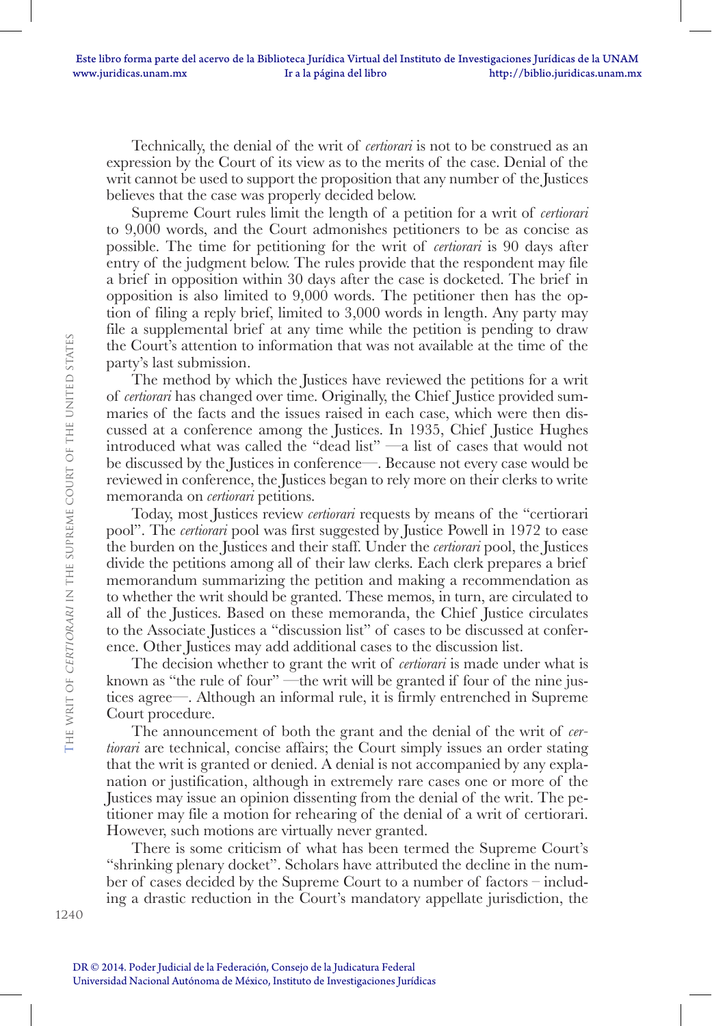Technically, the denial of the writ of *certiorari* is not to be construed as an expression by the Court of its view as to the merits of the case. Denial of the writ cannot be used to support the proposition that any number of the Justices believes that the case was properly decided below.

Supreme Court rules limit the length of a petition for a writ of *certiorari* to 9,000 words, and the Court admonishes petitioners to be as concise as possible. The time for petitioning for the writ of *certiorari* is 90 days after entry of the judgment below. The rules provide that the respondent may file a brief in opposition within 30 days after the case is docketed. The brief in opposition is also limited to 9,000 words. The petitioner then has the option of filing a reply brief, limited to 3,000 words in length. Any party may file a supplemental brief at any time while the petition is pending to draw the Court's attention to information that was not available at the time of the party's last submission.

The method by which the Justices have reviewed the petitions for a writ of *certiorari* has changed over time. Originally, the Chief Justice provided summaries of the facts and the issues raised in each case, which were then discussed at a conference among the Justices. In 1935, Chief Justice Hughes introduced what was called the "dead list" —a list of cases that would not be discussed by the Justices in conference—. Because not every case would be reviewed in conference, the Justices began to rely more on their clerks to write memoranda on *certiorari* petitions.

Today, most Justices review *certiorari* requests by means of the "certiorari pool". The *certiorari* pool was first suggested by Justice Powell in 1972 to ease the burden on the Justices and their staff. Under the *certiorari* pool, the Justices divide the petitions among all of their law clerks. Each clerk prepares a brief memorandum summarizing the petition and making a recommendation as to whether the writ should be granted. These memos, in turn, are circulated to all of the Justices. Based on these memoranda, the Chief Justice circulates to the Associate Justices a "discussion list" of cases to be discussed at conference. Other Justices may add additional cases to the discussion list.

The decision whether to grant the writ of *certiorari* is made under what is known as "the rule of four" —the writ will be granted if four of the nine justices agree—. Although an informal rule, it is firmly entrenched in Supreme Court procedure.

The announcement of both the grant and the denial of the writ of *certiorari* are technical, concise affairs; the Court simply issues an order stating that the writ is granted or denied. A denial is not accompanied by any explanation or justification, although in extremely rare cases one or more of the Justices may issue an opinion dissenting from the denial of the writ. The petitioner may file a motion for rehearing of the denial of a writ of certiorari. However, such motions are virtually never granted.

There is some criticism of what has been termed the Supreme Court's "shrinking plenary docket". Scholars have attributed the decline in the number of cases decided by the Supreme Court to a number of factors – including a drastic reduction in the Court's mandatory appellate jurisdiction, the

**T**he writ of certiorari in the supreme court of the united states

THE WRIT OF *CERTIORARI* IN THE SUPREME COURT OF THE UNITED STATES